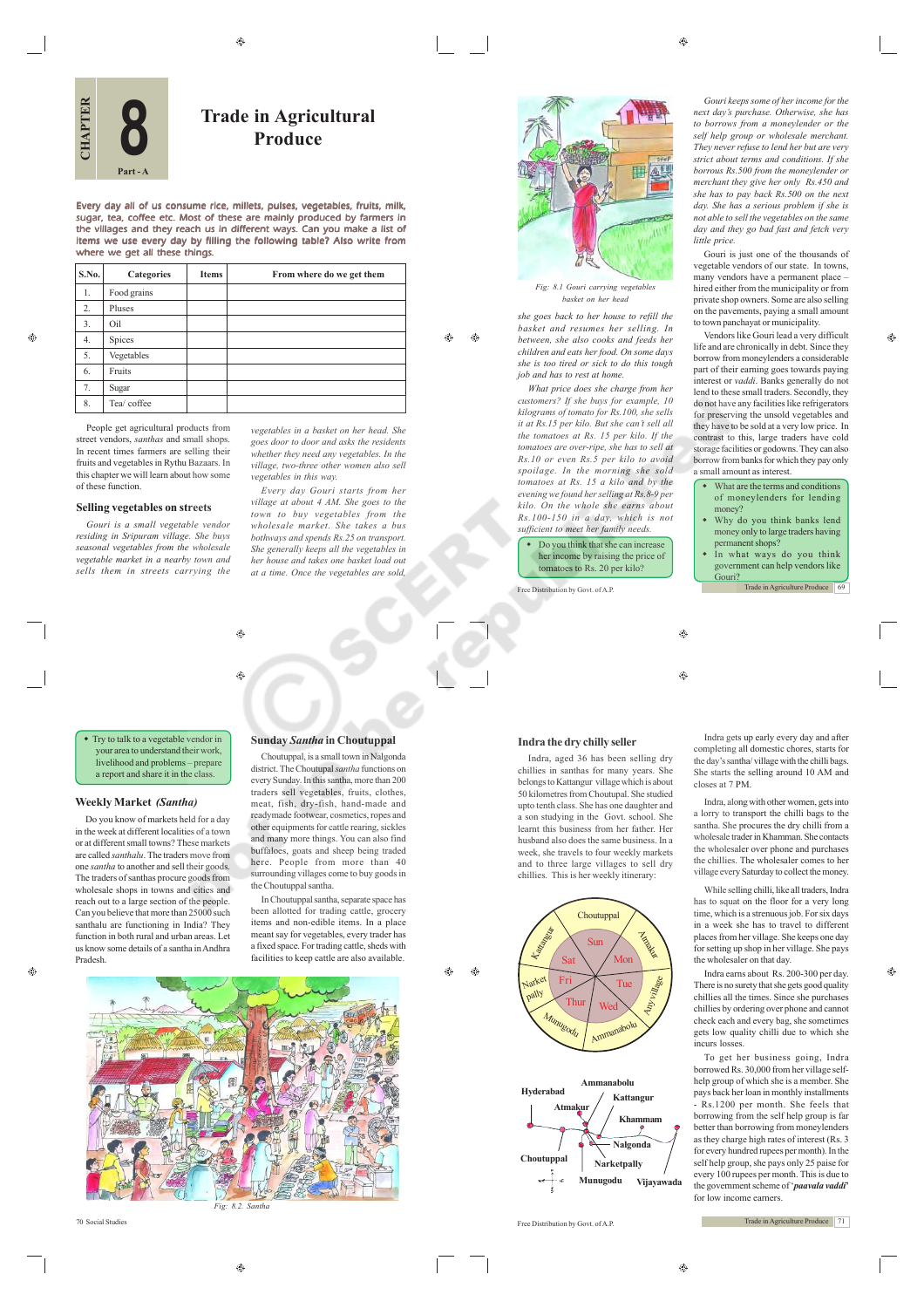⊕

ക  $\bigoplus$ 

**Trade in Agricultural Produce**

Every day all of us consume rice, millets, pulses, vegetables, fruits, milk, sugar, tea, coffee etc. Most of these are mainly produced by farmers in the villages and they reach us in different ways. Can you make a list of items we use every day by filling the following table? Also write from where we get all these things.

| S.No.            | Categories  | <b>Items</b> | From where do we get them |
|------------------|-------------|--------------|---------------------------|
| 1.               | Food grains |              |                           |
| $\overline{2}$ . | Pluses      |              |                           |
| 3.               | Oil         |              |                           |
| 4.               | Spices      |              |                           |
| 5.               | Vegetables  |              |                           |
| 6.               | Fruits      |              |                           |
| 7.               | Sugar       |              |                           |
| 8.               | Tea/ coffee |              |                           |

G.

**CHAPTER**

**8**

**Part - A**

People get agricultural products from street vendors, *santhas* and small shops. In recent times farmers are selling their fruits and vegetables in Rythu Bazaars. In this chapter we will learn about how some of these function.

## **Selling vegetables on streets**

*Gouri is a small vegetable vendor residing in Sripuram village. She buys seasonal vegetables from the wholesale vegetable market in a nearby town and sells them in streets carrying the*

*vegetables in a basket on her head. She goes door to door and asks the residents whether they need any vegetables. In the village, two-three other women also sell vegetables in this way.*

*Every day Gouri starts from her village at about 4 AM. She goes to the town to buy vegetables from the wholesale market. She takes a bus bothways and spends Rs.25 on transport. She generally keeps all the vegetables in her house and takes one basket load out at a time. Once the vegetables are sold,*



*Fig: 8.1 Gouri carrying vegetables basket on her head*

*she goes back to her house to refill the basket and resumes her selling. In between, she also cooks and feeds her children and eats her food. On some days she is too tired or sick to do this tough job and has to rest at home.*

*What price does she charge from her customers? If she buys for example, 10 kilograms of tomato for Rs.100, she sells it at Rs.15 per kilo. But she can't sell all the tomatoes at Rs. 15 per kilo. If the tomatoes are over-ripe, she has to sell at Rs.10 or even Rs.5 per kilo to avoid spoilage. In the morning she sold tomatoes at Rs. 15 a kilo and by the evening we found her selling at Rs.8-9 per kilo. On the whole she earns about Rs.100-150 in a day, which is not sufficient to meet her family needs.*

• Do you think that she can increase her income by raising the price of tomatoes to Rs. 20 per kilo?

Free Distribution by Govt. of A.P.

 $\bigoplus$ 

*Gouri keeps some of her income for the next day's purchase. Otherwise, she has to borrows from a moneylender or the self help group or wholesale merchant. They never refuse to lend her but are very strict about terms and conditions. If she borrous Rs.500 from the moneylender or merchant they give her only Rs.450 and she has to pay back Rs.500 on the next day. She has a serious problem if she is not able to sell the vegetables on the same day and they go bad fast and fetch very little price.*

Gouri is just one of the thousands of vegetable vendors of our state. In towns, many vendors have a permanent place – hired either from the municipality or from private shop owners. Some are also selling on the pavements, paying a small amount to town panchayat or municipality.

⊕

Vendors like Gouri lead a very difficult life and are chronically in debt. Since they borrow from moneylenders a considerable part of their earning goes towards paying interest or *vaddi*. Banks generally do not lend to these small traders. Secondly, they do not have any facilities like refrigerators for preserving the unsold vegetables and they have to be sold at a very low price. In contrast to this, large traders have cold storage facilities or godowns. They can also borrow from banks for which they pay only a small amount as interest.

- What are the terms and conditions of moneylenders for lending oney?
- Why do you think banks lend money only to large traders having permanent shops?
- In what ways do you think government can help vendors like Gouri?

Trade in Agriculture Produce 69

 $\bigcirc$ 

#### **Indra the dry chilly seller**

Indra, aged 36 has been selling dry chillies in santhas for many years. She belongs to Kattangur village which is about 50 kilometres from Choutupal. She studied upto tenth class. She has one daughter and a son studying in the Govt. school. She learnt this business from her father. Her husband also does the same business. In a week, she travels to four weekly markets and to three large villages to sell dry chillies. This is her weekly itinerary:



Indra gets up early every day and after completing all domestic chores, starts for the day's santha/ village with the chilli bags. She starts the selling around 10 AM and closes at 7 PM.

Indra, along with other women, gets into a lorry to transport the chilli bags to the santha. She procures the dry chilli from a wholesale trader in Khamman. She contacts the wholesaler over phone and purchases the chillies. The wholesaler comes to her village every Saturday to collect the money.

While selling chilli, like all traders, Indra has to squat on the floor for a very long time, which is a strenuous job. For six days in a week she has to travel to different places from her village. She keeps one day for setting up shop in her village. She pays the wholesaler on that day.

Indra earns about Rs. 200-300 per day. There is no surety that she gets good quality chillies all the times. Since she purchases chillies by ordering over phone and cannot check each and every bag, she sometimes gets low quality chilli due to which she incurs losses.

To get her business going, Indra borrowed Rs. 30,000 from her village selfhelp group of which she is a member. She pays back her loan in monthly installments - Rs.1200 per month. She feels that borrowing from the self help group is far better than borrowing from moneylenders as they charge high rates of interest (Rs. 3 for every hundred rupees per month). In the self help group, she pays only 25 paise for every 100 rupees per month. This is due to the government scheme of '*paavala vaddi***'** for low income earners.

Trade in Agriculture Produce 71



 $\hat{\mathbf{e}}$ 

traders sell vegetables, fruits, clothes, meat, fish, dry-fish, hand-made and readymade footwear, cosmetics, ropes and other equipments for cattle rearing, sickles and many more things. You can also find buffaloes, goats and sheep being traded here. People from more than 40 surrounding villages come to buy goods in the Choutuppal santha.

**Sunday** *Santha* **in Choutuppal** Choutuppal, is a small town in Nalgonda district. The Choutupal *santha* functions on every Sunday. In this santha, more than 200

In Choutuppal santha, separate space has been allotted for trading cattle, grocery items and non-edible items. In a place meant say for vegetables, every trader has a fixed space. For trading cattle, sheds with facilities to keep cattle are also available.

 $\triangle$ 

۳

• Try to talk to a vegetable vendor in r area to understand their work, livelihood and problems – prepare

a report and share it in the class.

# **Weekly Market** *(Santha)*

Do you know of markets held for a day in the week at different localities of a town or at different small towns? These markets are called *santhalu*. The traders move from one *santha* to another and sell their goods. The traders of santhas procure goods from wholesale shops in towns and cities and reach out to a large section of the people. Can you believe that more than 25000 such santhalu are functioning in India? They function in both rural and urban areas. Let us know some details of a santha in Andhra Pradesh.